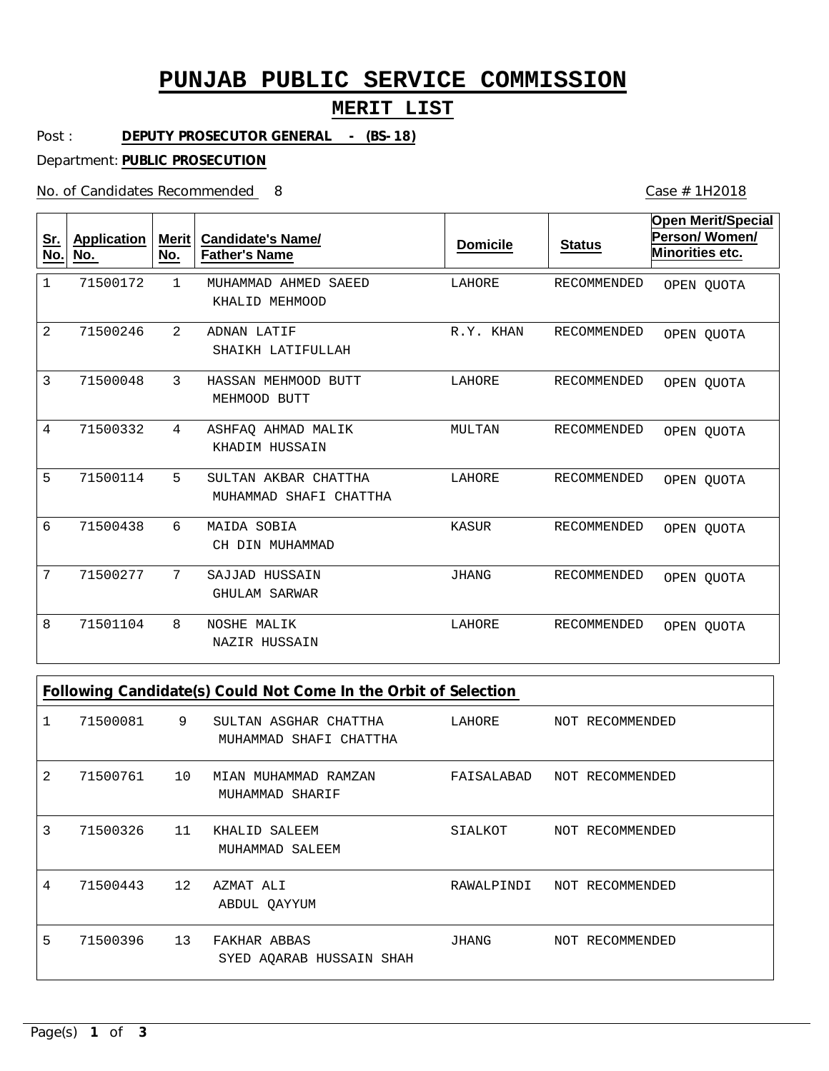# **PUNJAB PUBLIC SERVICE COMMISSION**

### **MERIT LIST**

Post : **DEPUTY PROSECUTOR GENERAL - (BS-18)**

Department: **PUBLIC PROSECUTION**

No. of Candidates Recommended

Case # 1H2018

| <u>Sr.</u><br><u>No.</u> | <b>Application</b><br>No. | <b>Merit</b><br>No. | <b>Candidate's Name/</b><br><b>Father's Name</b> | <b>Domicile</b> | <b>Status</b>      | <b>Open Merit/Special</b><br>Person/Women/<br>Minorities etc. |
|--------------------------|---------------------------|---------------------|--------------------------------------------------|-----------------|--------------------|---------------------------------------------------------------|
| 1                        | 71500172                  | $\mathbf{1}$        | MUHAMMAD AHMED SAEED<br>KHALID MEHMOOD           | LAHORE          | <b>RECOMMENDED</b> | OPEN QUOTA                                                    |
| $\overline{2}$           | 71500246                  | 2                   | ADNAN LATIF<br>SHAIKH LATIFULLAH                 | R.Y. KHAN       | RECOMMENDED        | OPEN OUOTA                                                    |
| 3                        | 71500048                  | 3                   | HASSAN MEHMOOD BUTT<br>MEHMOOD BUTT              | LAHORE          | <b>RECOMMENDED</b> | OPEN QUOTA                                                    |
| 4                        | 71500332                  | 4                   | ASHFAO AHMAD MALIK<br>KHADIM HUSSAIN             | MULTAN          | <b>RECOMMENDED</b> | OPEN QUOTA                                                    |
| 5                        | 71500114                  | 5                   | SULTAN AKBAR CHATTHA<br>MUHAMMAD SHAFI CHATTHA   | LAHORE          | <b>RECOMMENDED</b> | OPEN OUOTA                                                    |
| 6                        | 71500438                  | 6                   | MAIDA SOBIA<br>CH DIN MUHAMMAD                   | <b>KASUR</b>    | <b>RECOMMENDED</b> | OPEN QUOTA                                                    |
| 7                        | 71500277                  | 7                   | SAJJAD HUSSAIN<br><b>GHULAM SARWAR</b>           | <b>JHANG</b>    | <b>RECOMMENDED</b> | OPEN OUOTA                                                    |
| 8                        | 71501104                  | 8                   | <b>NOSHE MALIK</b><br>NAZIR HUSSAIN              | LAHORE          | RECOMMENDED        | OPEN QUOTA                                                    |

| Following Candidate(s) Could Not Come In the Orbit of Selection |          |    |                                                 |            |  |                 |
|-----------------------------------------------------------------|----------|----|-------------------------------------------------|------------|--|-----------------|
|                                                                 | 71500081 | 9  | SULTAN ASGHAR CHATTHA<br>MUHAMMAD SHAFI CHATTHA | LAHORE     |  | NOT RECOMMENDED |
| 2                                                               | 71500761 | 10 | MIAN MUHAMMAD RAMZAN<br>MUHAMMAD SHARIF         | FAISALABAD |  | NOT RECOMMENDED |
| 3                                                               | 71500326 | 11 | KHALID SALEEM<br>MUHAMMAD SALEEM                | SIALKOT    |  | NOT RECOMMENDED |
| 4                                                               | 71500443 | 12 | AZMAT ALI<br>ABDUL OAYYUM                       | RAWALPINDI |  | NOT RECOMMENDED |
| 5                                                               | 71500396 | 13 | FAKHAR ABBAS<br>SYED AQARAB HUSSAIN SHAH        | JHANG      |  | NOT RECOMMENDED |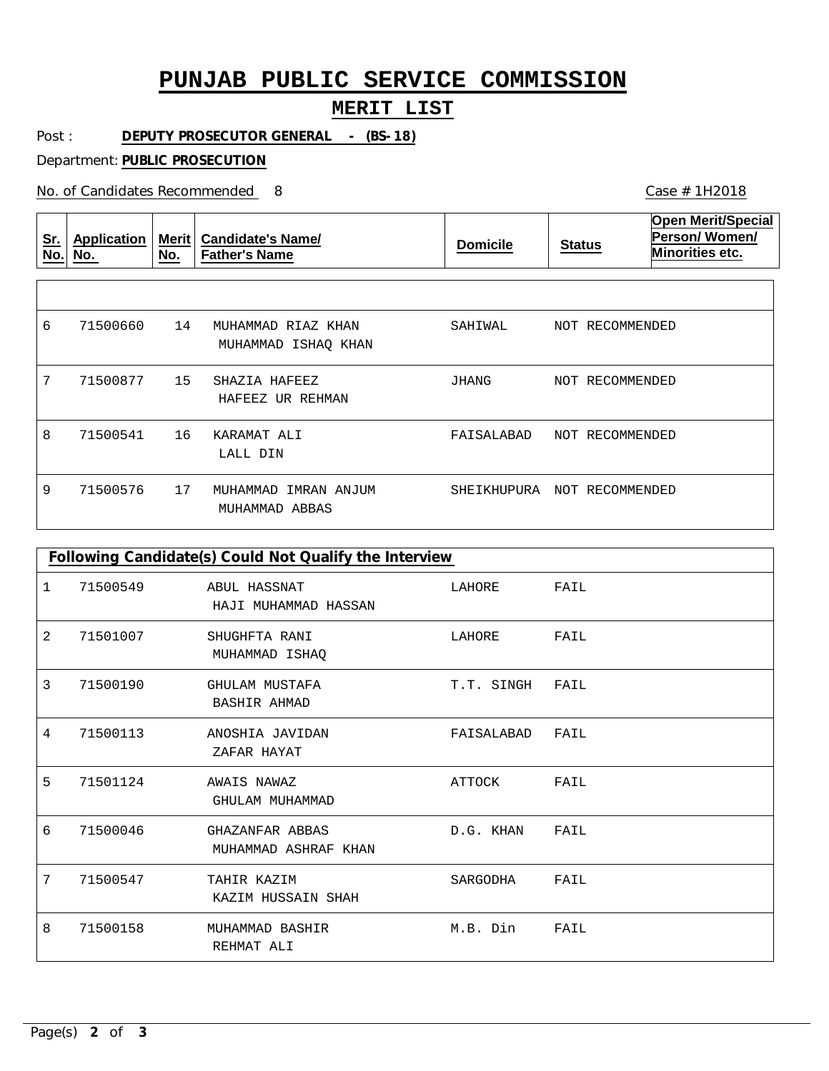# **PUNJAB PUBLIC SERVICE COMMISSION**

### **MERIT LIST**

Post : **DEPUTY PROSECUTOR GENERAL - (BS-18)**

Department: **PUBLIC PROSECUTION**

No. of Candidates Recommended

| <u>Sr.</u><br>No. | <b>Application</b><br>No. | <b>Merit</b><br>No. | <b>Candidate's Name/</b><br><b>Father's Name</b> | <b>Domicile</b> | <b>Status</b>      | <b>Open Merit/Special</b><br><b>Person/Women/</b><br>Minorities etc. |
|-------------------|---------------------------|---------------------|--------------------------------------------------|-----------------|--------------------|----------------------------------------------------------------------|
|                   |                           |                     |                                                  |                 |                    |                                                                      |
| 6                 | 71500660                  | 14                  | MUHAMMAD RIAZ KHAN<br>MUHAMMAD ISHAQ KHAN        | SAHIWAL         | NOT RECOMMENDED    |                                                                      |
| 7                 | 71500877                  | 15                  | SHAZIA HAFEEZ<br>HAFEEZ UR REHMAN                | JHANG           | NOT RECOMMENDED    |                                                                      |
| 8                 | 71500541                  | 16                  | KARAMAT ALI<br>LALL DIN                          | FAISALABAD      | NOT RECOMMENDED    |                                                                      |
| 9                 | 71500576                  | 17                  | MUHAMMAD<br>IMRAN ANJUM<br>MUHAMMAD ABBAS        | SHEIKHUPURA     | RECOMMENDED<br>NOT |                                                                      |

| Following Candidate(s) Could Not Qualify the Interview |          |                                         |            |      |  |  |
|--------------------------------------------------------|----------|-----------------------------------------|------------|------|--|--|
| 1                                                      | 71500549 | ABUL HASSNAT<br>HAJI MUHAMMAD HASSAN    | LAHORE     | FAIL |  |  |
| 2                                                      | 71501007 | SHUGHFTA RANI<br>MUHAMMAD ISHAQ         | LAHORE     | FAIL |  |  |
| 3                                                      | 71500190 | GHULAM MUSTAFA<br><b>BASHIR AHMAD</b>   | T.T. SINGH | FAIL |  |  |
| 4                                                      | 71500113 | ANOSHIA JAVIDAN<br>ZAFAR HAYAT          | FAISALABAD | FAIL |  |  |
| 5                                                      | 71501124 | AWAIS NAWAZ<br>GHULAM MUHAMMAD          | ATTOCK     | FAIL |  |  |
| 6                                                      | 71500046 | GHAZANFAR ABBAS<br>MUHAMMAD ASHRAF KHAN | D.G. KHAN  | FAIL |  |  |
| 7                                                      | 71500547 | TAHIR KAZIM<br>KAZIM HUSSAIN SHAH       | SARGODHA   | FAIL |  |  |
| 8                                                      | 71500158 | MUHAMMAD BASHIR<br>REHMAT ALI           | M.B. Din   | FAIL |  |  |

Case # 1H2018